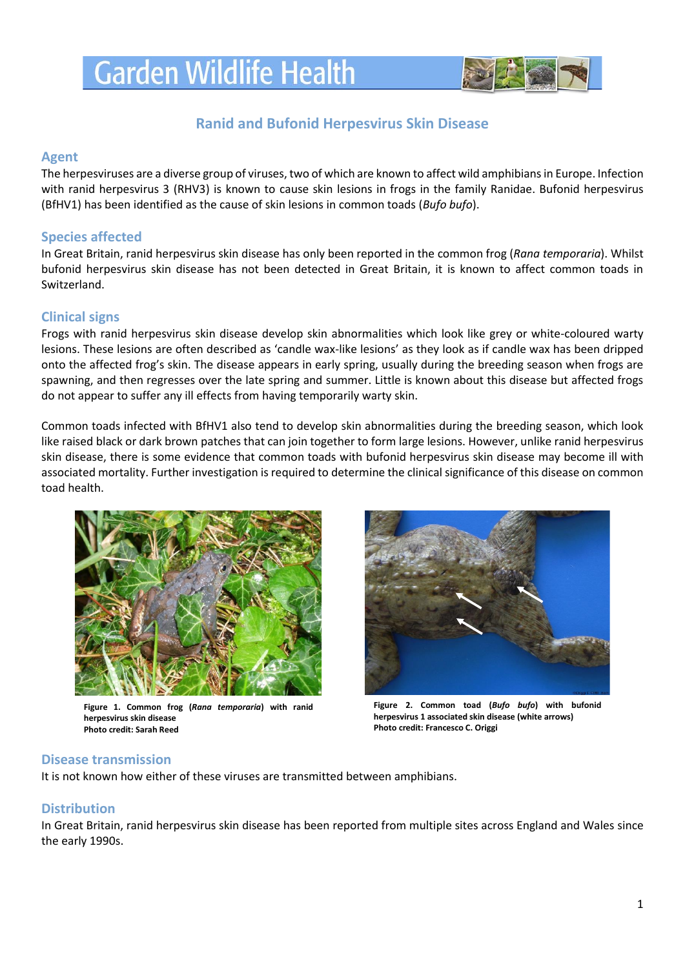# **Garden Wildlife Health**



# **Ranid and Bufonid Herpesvirus Skin Disease**

#### **Agent**

The herpesviruses are a diverse group of viruses, two of which are known to affect wild amphibiansin Europe. Infection with ranid herpesvirus 3 (RHV3) is known to cause skin lesions in frogs in the family Ranidae. Bufonid herpesvirus (BfHV1) has been identified as the cause of skin lesions in common toads (*Bufo bufo*).

### **Species affected**

In Great Britain, ranid herpesvirus skin disease has only been reported in the common frog (*Rana temporaria*). Whilst bufonid herpesvirus skin disease has not been detected in Great Britain, it is known to affect common toads in Switzerland.

### **Clinical signs**

Frogs with ranid herpesvirus skin disease develop skin abnormalities which look like grey or white-coloured warty lesions. These lesions are often described as 'candle wax-like lesions' as they look as if candle wax has been dripped onto the affected frog's skin. The disease appears in early spring, usually during the breeding season when frogs are spawning, and then regresses over the late spring and summer. Little is known about this disease but affected frogs do not appear to suffer any ill effects from having temporarily warty skin.

Common toads infected with BfHV1 also tend to develop skin abnormalities during the breeding season, which look like raised black or dark brown patches that can join together to form large lesions. However, unlike ranid herpesvirus skin disease, there is some evidence that common toads with bufonid herpesvirus skin disease may become ill with associated mortality. Further investigation is required to determine the clinical significance of this disease on common toad health.



**Figure 1. Common frog (***Rana temporaria***) with ranid herpesvirus skin disease Photo credit: Sarah Reed**



**Figure 2. Common toad (***Bufo bufo***) with bufonid herpesvirus 1 associated skin disease (white arrows) Photo credit: Francesco C. Origgi**

#### **Disease transmission**

It is not known how either of these viruses are transmitted between amphibians.

#### **Distribution**

In Great Britain, ranid herpesvirus skin disease has been reported from multiple sites across England and Wales since the early 1990s.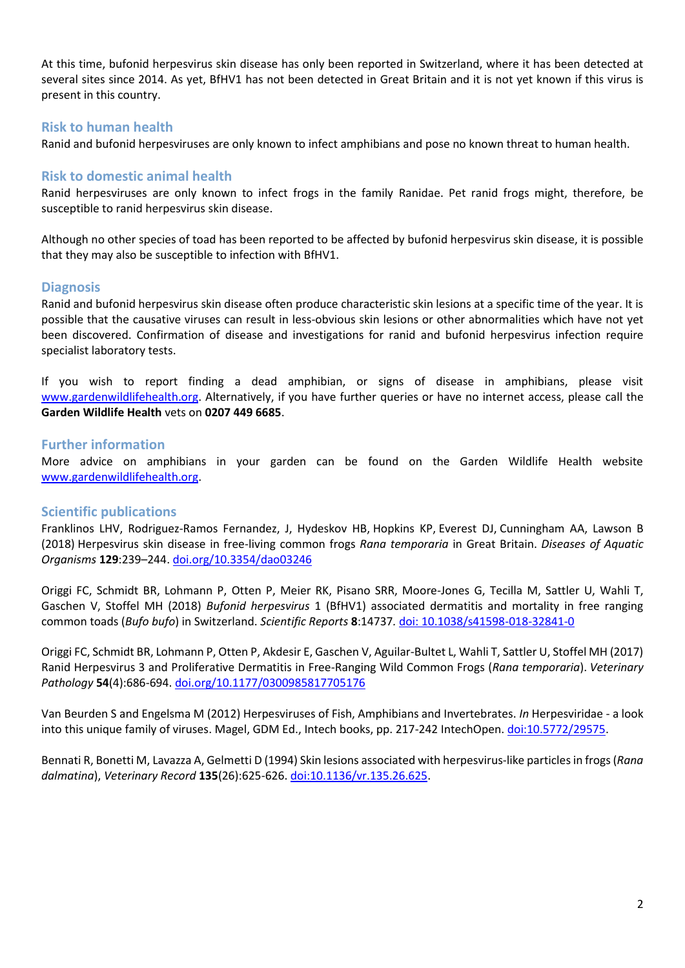At this time, bufonid herpesvirus skin disease has only been reported in Switzerland, where it has been detected at several sites since 2014. As yet, BfHV1 has not been detected in Great Britain and it is not yet known if this virus is present in this country.

#### **Risk to human health**

Ranid and bufonid herpesviruses are only known to infect amphibians and pose no known threat to human health.

## **Risk to domestic animal health**

Ranid herpesviruses are only known to infect frogs in the family Ranidae. Pet ranid frogs might, therefore, be susceptible to ranid herpesvirus skin disease.

Although no other species of toad has been reported to be affected by bufonid herpesvirus skin disease, it is possible that they may also be susceptible to infection with BfHV1.

#### **Diagnosis**

Ranid and bufonid herpesvirus skin disease often produce characteristic skin lesions at a specific time of the year. It is possible that the causative viruses can result in less-obvious skin lesions or other abnormalities which have not yet been discovered. Confirmation of disease and investigations for ranid and bufonid herpesvirus infection require specialist laboratory tests.

If you wish to report finding a dead amphibian, or signs of disease in amphibians, please visit [www.gardenwildlifehealth.org.](http://www.gardenwildlifehealth.org/) Alternatively, if you have further queries or have no internet access, please call the **Garden Wildlife Health** vets on **0207 449 6685**.

#### **Further information**

More advice on amphibians in your garden can be found on the Garden Wildlife Health website [www.gardenwildlifehealth.org.](http://www.gardenwildlifehealth.org/)

#### **Scientific publications**

Franklinos LHV, Rodriguez-Ramos Fernandez, J, Hydeskov HB, Hopkins KP, Everest DJ, Cunningham AA, Lawson B (2018) Herpesvirus skin disease in free-living common frogs *Rana temporaria* in Great Britain. *Diseases of Aquatic Organisms* **129**:239–244. [doi.org/10.3354/dao03246](http://doi.org/10.3354/dao03246)

Origgi FC, Schmidt BR, Lohmann P, Otten P, Meier RK, Pisano SRR, Moore-Jones G, Tecilla M, Sattler U, Wahli T, Gaschen V, Stoffel MH (2018) *Bufonid herpesvirus* 1 (BfHV1) associated dermatitis and mortality in free ranging common toads (*Bufo bufo*) in Switzerland. *Scientific Reports* **8**:14737*.* [doi: 10.1038/s41598-018-32841-0](https://www.nature.com/articles/s41598-018-32841-0)

Origgi FC, Schmidt BR, Lohmann P, Otten P, Akdesir E, Gaschen V, Aguilar-Bultet L, Wahli T, Sattler U, Stoffel MH (2017) Ranid Herpesvirus 3 and Proliferative Dermatitis in Free-Ranging Wild Common Frogs (*Rana temporaria*). *Veterinary Pathology* **54**(4):686-694. [doi.org/10.1177/0300985817705176](https://journals.sagepub.com/doi/full/10.1177/0300985817705176)

Van Beurden S and Engelsma M (2012) Herpesviruses of Fish, Amphibians and Invertebrates. *In* [Herpesviridae -](http://www.intechopen.com/books/herpesviridae-a-look-into-this-unique-family-of-viruses) a look [into this unique family of viruses.](http://www.intechopen.com/books/herpesviridae-a-look-into-this-unique-family-of-viruses) Magel, GDM Ed., Intech books, pp. 217-242 IntechOpen. [doi:10.5772/29575.](http://www.intechopen.com/books/herpesviridae-a-look-into-this-unique-family-of-viruses/herpesviruses-of-fish-amphibians-and-invertebrates)

Bennati R, Bonetti M, Lavazza A, Gelmetti D (1994) Skin lesions associated with herpesvirus-like particles in frogs (*Rana dalmatina*), *Veterinary Record* **135**(26):625-626[. doi:10.1136/vr.135.26.625.](http://www.ncbi.nlm.nih.gov/pubmed/7716873)